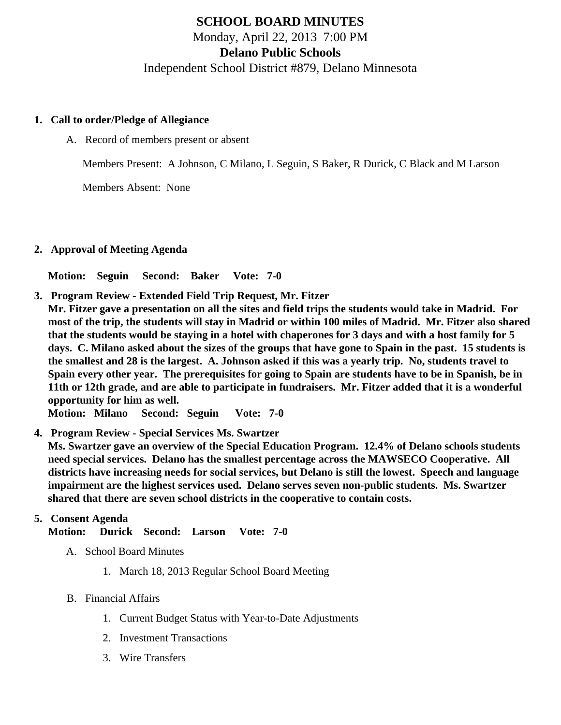# SCHOOL BOARD MINUTES Monday, April 22, 2013 7:00 PM Delano Public Schools Independent School District #879, Delano Minnesota

- 1. Call to order/Pledge of Allegiance
	- A. Record of members present or absent

Members Present: A Johnson, C Milano, L Seguin, S Baker, R Durick, C Black and M Larson

Members Absent: None

2. Approval of Meeting Agenda

Motion: Seguin Second: Baker Vote: 7-0

- 3. Program Review Extended Field Trip Request, Mr. Fitzer
- Mr. Fitzer gave a presentation on all the sites and field trips the students would take in Madrid. For most of the trip, the students will stay in Madrid or within 100 miles of Madrid. Mr. Fitzer also shared that the students would be staying in a hotel with chaperones for 3 days and with a host family for 5 days. C. Milano asked about the sizes of the groups that have gone to Spain in the past. 15 students is the smallest and 28 is the largest. A. Johnson asked if this was a yearly trip. No, students travel to Spain every other year. The prerequisites for going to Spain are students have to be in Spanish, be in 11th or 12th grade, and are able to participate in fundraisers. Mr. Fitzer added that it is a wonderful opportunity for him as well.

Motion: Milano Second: Seguin Vote: 7-0

4. Program Review - Special Services Ms. Swartzer

Ms. Swartzer gave an overview of the Special Education Program. 12.4% of Delano schools students need special services. Delano has the smallest percentage across the MAWSECO Cooperative. All districts have increasing needs for social services, but Delano is still the lowest. Speech and language impairment are the highest services used. Delano serves seven non-public students. Ms. Swartzer shared that there are seven school districts in the cooperative to contain costs.

5. Consent Agenda

Motion: Durick Second: Larson Vote: 7-0

- A. School Board Minutes
	- 1. [March 18, 201](/docs/district/Business_Office/3.18.13_Board_Meeting_Minutes.pdf)Regular School Board Meeting
- B. Financial Affairs
	- 1. [Current Budget Statu](/docs/district/Business_Office/Budget_Report_April_2013.pdf)s ith Year-to-Date Adjustments
	- 2. [Investment Transactio](/docs/district/Business_Office/Investment_schedule_12-13.pdf)ns
	- 3. [Wire Transfer](/docs/district/Business_Office/Wire_Transfer.pdf)s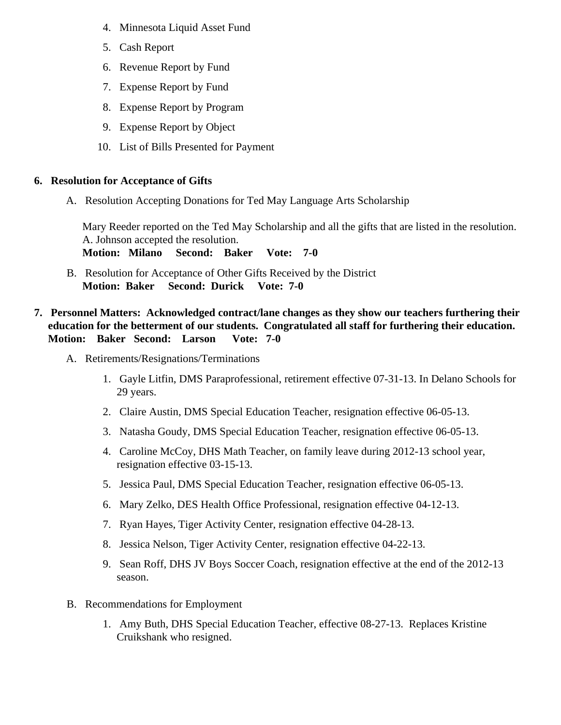- 4. [Minnesota Liquid Asset Fun](/docs/district/Business_Office/Liq_AFY13.pdf  )d
- 5. [Cash Repo](/docs/district/Business_Office/Cash_Report.pdf )rt
- 6. [Revenue Report by Fu](/docs/district/Business_Office/SCHOOL_BOARD_REPORTS_-_REVENUE_BY_FUND_TOTAL__(Date__6_2013).pdf)nd
- 7. [Expense Report by Fu](/docs/district/Business_Office/SCHOOL_BOARD_REPORTS_-_EXP_BY_FUND_TOTAL__(Date__6_2013).pdf)nd
- 8. [Expense Report by Progra](/docs/district/Business_Office/SCHOOL_BOARD_REPORTS_-_EXPENDITURES_BY_PROGRAM__(Date__6_2013).pdf)m
- 9. [Expense Report by Obje](/docs/district/Business_Office/SCHOOL_BOARD_REPORTS_-_EXPENDITURES_BY_OBJECT__(Date__6_2013).pdf)ct
- 10. [List of Bills Presented for Payme](/docs/district/Business_Office/DETAIL_OF_MONTHLY_BILLS_PRESENTED_FOR_PAYMENT_(Dates__03_13_13_-_04_17_13).pdf)nt
- 6. Resolution for Acceptance of Gifts
	- A. [Resolution Accepting Donations for Ted May Language Arts Schola](/docs/district/Business_Office/Resolution_for_Acceptance_of_Gifts_-_Ted_May_Scholarship_4.pdf)rship

Mary Reeder reported on the Ted May Scholarship and all the gifts that are listed in the resolution. A. Johnson accepted the resolution. Motion: Milano Second: Baker Vote: 7-0

- B. [Resolution for Acceptance of Other Gifts Received by the Di](/docs/district/Business_Office/Resolution_for_Acceptance_of_Gifts_4.pdf)strict Motion: Baker Second: Durick Vote: 7-0
- 7. Personnel Matters: Acknowledged contract/lane changes as they show our teachers furthering their education for the betterment of our students. Congratulated all staff for furthering their education. Motion: Baker Second: Larson Vote: 7-0
	- A. Retirements/Resignations/Terminations
		- 1. Gayle Litfin, DMS Paraprofessional, retirement effective 07-31-13. In Delano Schools for 29 years.
		- 2. Claire Austin, DMS Special Education Teacher, resignation effective 06-05-13.
		- 3. Natasha Goudy, DMS Special Education Teacher, resignation effective 06-05-13.
		- 4. Caroline McCoy, DHS Math Teacher, on family leave during 2012-13 school year, resignation effective 03-15-13.
		- 5. Jessica Paul, DMS Special Education Teacher, resignation effective 06-05-13.
		- 6. Mary Zelko, DES Health Office Professional, resignation effective 04-12-13.
		- 7. Ryan Hayes, Tiger Activity Center, resignation effective 04-28-13.
		- 8. Jessica Nelson, Tiger Activity Center, resignation effective 04-22-13.
		- 9. Sean Roff, DHS JV Boys Soccer Coach, resignation effective at the end of the 2012-13 season.
	- B. Recommendations for Employment
		- 1. Amy Buth, DHS Special Education Teacher, effective 08-27-13. Replaces Kristine Cruikshank who resigned.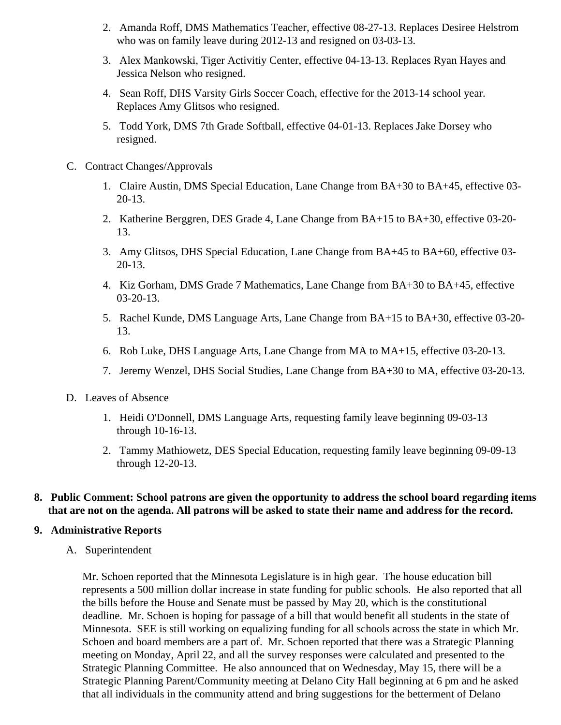- 2. Amanda Roff, DMS Mathematics Teacher, effective 08-27-13. Replaces Desiree Helstrom who was on family leave during 2012-13 and resigned on 03-03-13.
- 3. Alex Mankowski, Tiger Activitiy Center, effective 04-13-13. Replaces Ryan Hayes and Jessica Nelson who resigned.
- 4. Sean Roff, DHS Varsity Girls Soccer Coach, effective for the 2013-14 school year. Replaces Amy Glitsos who resigned.
- 5. Todd York, DMS 7th Grade Softball, effective 04-01-13. Replaces Jake Dorsey who resigned.
- C. Contract Changes/Approvals
	- 1. Claire Austin, DMS Special Education, Lane Change from BA+30 to BA+45, effective 03- 20-13.
	- 2. Katherine Berggren, DES Grade 4, Lane Change from BA+15 to BA+30, effective 03-20- 13.
	- 3. Amy Glitsos, DHS Special Education, Lane Change from BA+45 to BA+60, effective 03- 20-13.
	- 4. Kiz Gorham, DMS Grade 7 Mathematics, Lane Change from BA+30 to BA+45, effective 03-20-13.
	- 5. Rachel Kunde, DMS Language Arts, Lane Change from BA+15 to BA+30, effective 03-20- 13.
	- 6. Rob Luke, DHS Language Arts, Lane Change from MA to MA+15, effective 03-20-13.
	- 7. Jeremy Wenzel, DHS Social Studies, Lane Change from BA+30 to MA, effective 03-20-13.
- D. Leaves of Absence
	- 1. Heidi O'Donnell, DMS Language Arts, requesting family leave beginning 09-03-13 through 10-16-13.
	- 2. Tammy Mathiowetz, DES Special Education, requesting family leave beginning 09-09-13 through 12-20-13.

### **8. Public Comment: School patrons are given the opportunity to address the school board regarding items that are not on the agenda. All patrons will be asked to state their name and address for the record.**

#### **9. Administrative Reports**

A. Superintendent

Mr. Schoen reported that the Minnesota Legislature is in high gear. The house education bill represents a 500 million dollar increase in state funding for public schools. He also reported that all the bills before the House and Senate must be passed by May 20, which is the constitutional deadline. Mr. Schoen is hoping for passage of a bill that would benefit all students in the state of Minnesota. SEE is still working on equalizing funding for all schools across the state in which Mr. Schoen and board members are a part of. Mr. Schoen reported that there was a Strategic Planning meeting on Monday, April 22, and all the survey responses were calculated and presented to the Strategic Planning Committee. He also announced that on Wednesday, May 15, there will be a Strategic Planning Parent/Community meeting at Delano City Hall beginning at 6 pm and he asked that all individuals in the community attend and bring suggestions for the betterment of Delano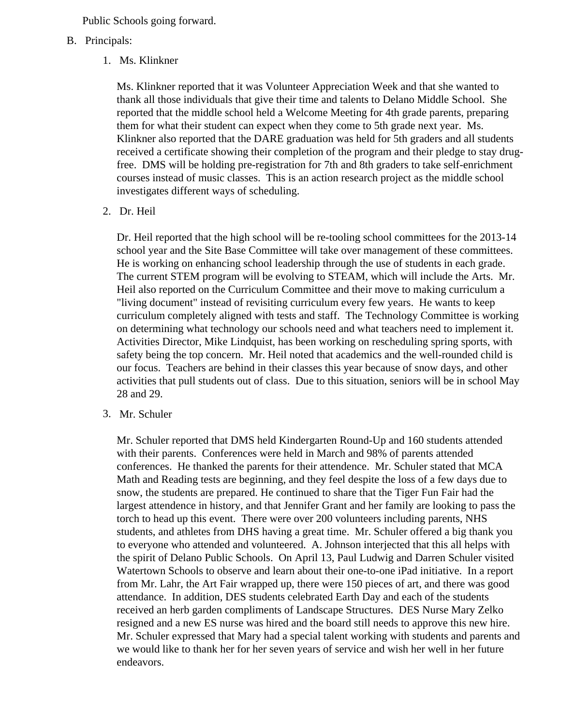Public Schools going forward.

- B. Principals:
	- 1. Ms. Klinkner

Ms. Klinkner reported that it was Volunteer Appreciation Week and that she wanted to thank all those individuals that give their time and talents to Delano Middle School. She reported that the middle school held a Welcome Meeting for 4th grade parents, preparing them for what their student can expect when they come to 5th grade next year. Ms. Klinkner also reported that the DARE graduation was held for 5th graders and all students received a certificate showing their completion of the program and their pledge to stay drugfree. DMS will be holding pre-registration for 7th and 8th graders to take self-enrichment courses instead of music classes. This is an action research project as the middle school investigates different ways of scheduling.

2. Dr. Heil

Dr. Heil reported that the high school will be re-tooling school committees for the 2013-14 school year and the Site Base Committee will take over management of these committees. He is working on enhancing school leadership through the use of students in each grade. The current STEM program will be evolving to STEAM, which will include the Arts. Mr. Heil also reported on the Curriculum Committee and their move to making curriculum a "living document" instead of revisiting curriculum every few years. He wants to keep curriculum completely aligned with tests and staff. The Technology Committee is working on determining what technology our schools need and what teachers need to implement it. Activities Director, Mike Lindquist, has been working on rescheduling spring sports, with safety being the top concern. Mr. Heil noted that academics and the well-rounded child is our focus. Teachers are behind in their classes this year because of snow days, and other activities that pull students out of class. Due to this situation, seniors will be in school May 28 and 29.

3. Mr. Schuler

Mr. Schuler reported that DMS held Kindergarten Round-Up and 160 students attended with their parents. Conferences were held in March and 98% of parents attended conferences. He thanked the parents for their attendence. Mr. Schuler stated that MCA Math and Reading tests are beginning, and they feel despite the loss of a few days due to snow, the students are prepared. He continued to share that the Tiger Fun Fair had the largest attendence in history, and that Jennifer Grant and her family are looking to pass the torch to head up this event. There were over 200 volunteers including parents, NHS students, and athletes from DHS having a great time. Mr. Schuler offered a big thank you to everyone who attended and volunteered. A. Johnson interjected that this all helps with the spirit of Delano Public Schools. On April 13, Paul Ludwig and Darren Schuler visited Watertown Schools to observe and learn about their one-to-one iPad initiative. In a report from Mr. Lahr, the Art Fair wrapped up, there were 150 pieces of art, and there was good attendance. In addition, DES students celebrated Earth Day and each of the students received an herb garden compliments of Landscape Structures. DES Nurse Mary Zelko resigned and a new ES nurse was hired and the board still needs to approve this new hire. Mr. Schuler expressed that Mary had a special talent working with students and parents and we would like to thank her for her seven years of service and wish her well in her future endeavors.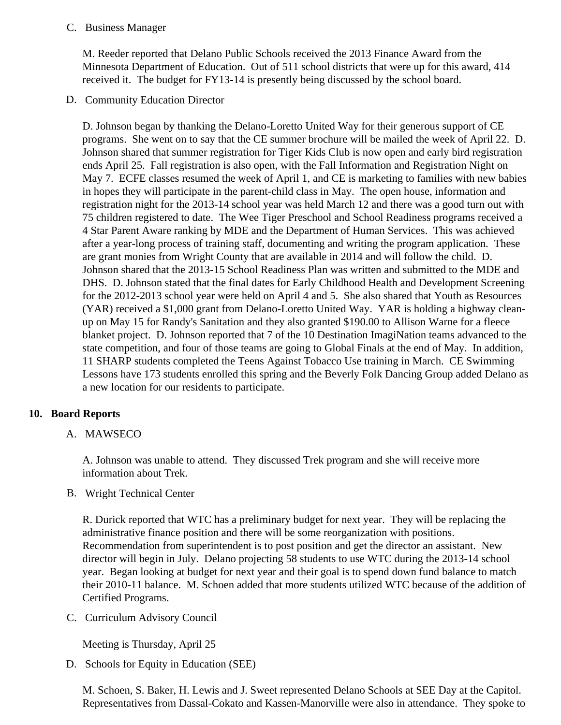### C. Business Manager

M. Reeder reported that Delano Public Schools received the 2013 Finance Award from the Minnesota Department of Education. Out of 511 school districts that were up for this award, 414 received it. The budget for FY13-14 is presently being discussed by the school board.

## D. Community EducationDirector

D. Johnson began by thanking the Delano-Loretto United Way for their generous support of CE programs. She went on to say that the CE summer brochure will be mailed the week of April 22. D. Johnson shared that summer registration for Tiger Kids Club is now open and early bird registration ends April 25. Fall registration is also open, with the Fall Information and Registration Night on May 7. ECFE classes resumed the week of April 1, and CE is marketing to families with new babie in hopes they will participate in the parent-child class in May. The open house, information and registration night for the 2013-14 school year was held March 12 and there was a good turn out with 75 children registered to date. The Wee Tiger Preschool and School Readiness programs receive 4 Star Parent Aware ranking by MDE and the Department of Human Services. This was achieved after a year-long process of training staff, documenting and writing the program application. These are grant monies from Wright County that are available in 2014 and will follow the child. D. Johnson shared that the 2013-15 School Readiness Plan was written and submitted to the MDE and DHS. D. Johnson stated that the final dates for Early Childhood Health and Development Screenir for the 2012-2013 school year were held on April 4 and 5. She also shared that Youth as Resourc (YAR) received a \$1,000 grant from Delano-Loretto United Way. YAR is holding a highway cleanup on May 15 for Randy's Sanitation and they also granted \$190.00 to Allison Warne for a fleece blanket project. D. Johnson reported that 7 of the 10 Destination ImagiNation teams advanced to t state competition, and four of those teams are going to Global Finals at the end of May. In additior 11 SHARP students completed the Teens Against Tobacco Use training in March. CE Swimming Lessons have 173 students enrolled this spring and the Beverly Folk Dancing Group added Deland a new location for our residents to participate.

## 10. Board Reports

A. MAWSECO

A. Johnson was unable to attend. They discussed Trek program and she will receive more information about Trek.

B. Wright Technical Center

R. Durick reported that WTC has a preliminary budget for next year. They will be replacing the administrative finance position and there will be some reorganization with positions. Recommendation from superintendent is to post position and get the director an assistant. New director will begin in July. Delano projecting 58 students to use WTC during the 2013-14 school year. Began looking at budget for next year and their goal is to spend down fund balance to match their 2010-11 balance. M. Schoen added that more students utilized WTC because of the addition Certified Programs.

C. Curriculum Advisory Council

Meeting is Thursday, April 25

D. Schools for Equity in Education (SEE)

M. Schoen, S. Baker, H. Lewis and J. Sweet represented Delano Schools at SEE Day at the Capite Representatives from Dassal-Cokato and Kassen-Manorville were also in attendance. They spoke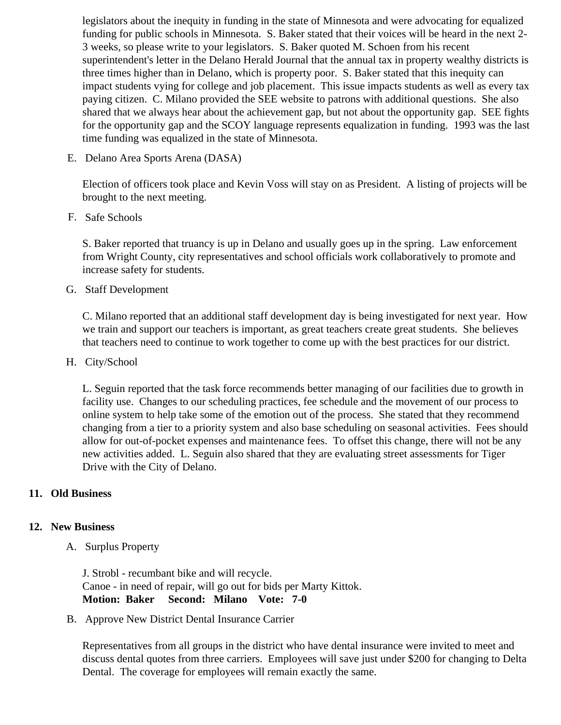legislators about the inequity in funding in the state of Minnesota and were advocating for equalize funding for public schools in Minnesota. S. Baker stated that their voices will be heard in the next 2-3 weeks, so please write to your legislators. S. Baker quoted M. Schoen from his recent superintendent's letter in the Delano Herald Journal that the annual tax in property wealthy districts three times higher than in Delano, which is property poor. S. Baker stated that this inequity can impact students vying for college and job placement. This issue impacts students as well as every paying citizen. C. Milano provided the SEE website to patrons with additional questions. She also shared that we always hear about the achievement gap, but not about the opportunity gap. SEE fights for the opportunity gap and the SCOY language represents equalization in funding. 1993 was the time funding was equalized in the state of Minnesota.

E. Delano Area Sports Arena (DASA)

Election of officers took place and Kevin Voss will stay on as President. A listing of projects will be brought to the next meeting.

F. Safe Schools

S. Baker reported that truancy is up in Delano and usually goes up in the spring. Law enforcement from Wright County, city representatives and school officials work collaboratively to promote and increase safety for students.

G. Staff Development

C. Milano reported that an additional staff development day is being investigated for next year. Ho we train and support our teachers is important, as great teachers create great students. She believ that teachers need to continue to work together to come up with the best practices for our district.

H. City/School

L. Seguin reported that the task force recommends better managing of our facilities due to growth i facility use. Changes to our scheduling practices, fee schedule and the movement of our process to online system to help take some of the emotion out of the process. She stated that they recommen changing from a tier to a priority system and also base scheduling on seasonal activities. Fees sho allow for out-of-pocket expenses and maintenance fees. To offset this change, there will not be an new activities added. L. Seguin also shared that they are evaluating street assessments for Tiger Drive with the City of Delano.

- 11. Old Business
- 12. New Business
	- A. [Surplus Propert](/docs/district/Business_Office/Surplus_Items_4.22.13.pdf)y

J. Strobl - recumbant bike and will recycle. Canoe - in need of repair, will go out for bids per Marty Kittok. Motion: Baker Second: Milano Vote: 7-0

B. [Approve New District Dental Insurance Car](/docs/district/Business_Office/April_2012_Dental_Insurance_Comparison_Info.pdf)rier

Representatives from all groups in the district who have dental insurance were invited to meet and discuss dental quotes from three carriers. Employees will save just under \$200 for changing to De Dental. The coverage for employees will remain exactly the same.